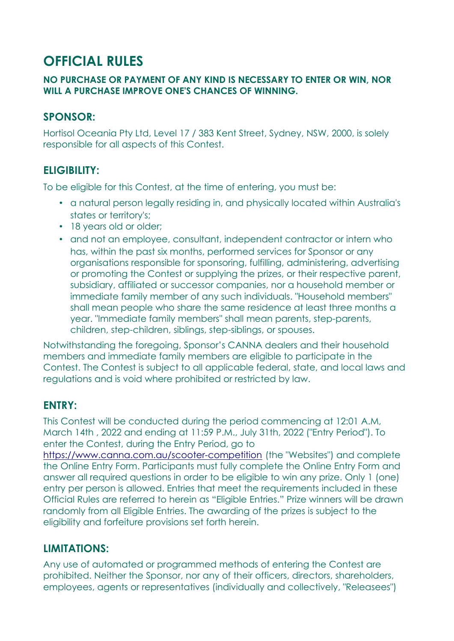# **OFFICIAL RULES**

#### **NO PURCHASE OR PAYMENT OF ANY KIND IS NECESSARY TO ENTER OR WIN, NOR WILL A PURCHASE IMPROVE ONE'S CHANCES OF WINNING.**

## **SPONSOR:**

Hortisol Oceania Pty Ltd, Level 17 / 383 Kent Street, Sydney, NSW, 2000, is solely responsible for all aspects of this Contest.

## **ELIGIBILITY:**

To be eligible for this Contest, at the time of entering, you must be:

- a natural person legally residing in, and physically located within Australia's states or territory's;
- 18 years old or older;
- and not an employee, consultant, independent contractor or intern who has, within the past six months, performed services for Sponsor or any organisations responsible for sponsoring, fulfilling, administering, advertising or promoting the Contest or supplying the prizes, or their respective parent, subsidiary, affiliated or successor companies, nor a household member or immediate family member of any such individuals. "Household members" shall mean people who share the same residence at least three months a year. "Immediate family members" shall mean parents, step-parents, children, step-children, siblings, step-siblings, or spouses.

Notwithstanding the foregoing, Sponsor's CANNA dealers and their household members and immediate family members are eligible to participate in the Contest. The Contest is subject to all applicable federal, state, and local laws and regulations and is void where prohibited or restricted by law.

## **ENTRY:**

This Contest will be conducted during the period commencing at 12:01 A.M, March 14th , 2022 and ending at 11:59 P.M., July 31th, 2022 ("Entry Period"). To enter the Contest, during the Entry Period, go to

[https://www.canna.com.au/](https://www.canna.com.au/scooter-competition)scooter-competition (the "Websites") and complete the Online Entry Form. Participants must fully complete the Online Entry Form and answer all required questions in order to be eligible to win any prize. Only 1 (one) entry per person is allowed. Entries that meet the requirements included in these Official Rules are referred to herein as "Eligible Entries." Prize winners will be drawn randomly from all Eligible Entries. The awarding of the prizes is subject to the eligibility and forfeiture provisions set forth herein.

## **LIMITATIONS:**

Any use of automated or programmed methods of entering the Contest are prohibited. Neither the Sponsor, nor any of their officers, directors, shareholders, employees, agents or representatives (individually and collectively, "Releasees")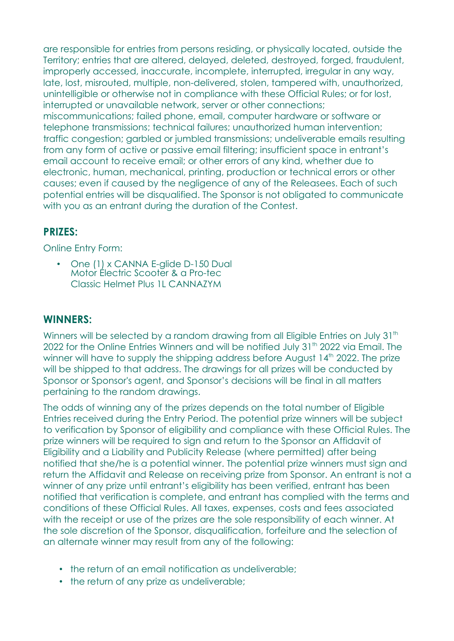are responsible for entries from persons residing, or physically located, outside the Territory; entries that are altered, delayed, deleted, destroyed, forged, fraudulent, improperly accessed, inaccurate, incomplete, interrupted, irregular in any way, late, lost, misrouted, multiple, non-delivered, stolen, tampered with, unauthorized, unintelligible or otherwise not in compliance with these Official Rules; or for lost, interrupted or unavailable network, server or other connections; miscommunications; failed phone, email, computer hardware or software or telephone transmissions; technical failures; unauthorized human intervention; traffic congestion; garbled or jumbled transmissions; undeliverable emails resulting from any form of active or passive email filtering; insufficient space in entrant's email account to receive email; or other errors of any kind, whether due to electronic, human, mechanical, printing, production or technical errors or other causes; even if caused by the negligence of any of the Releasees. Each of such potential entries will be disqualified. The Sponsor is not obligated to communicate with you as an entrant during the duration of the Contest.

#### **PRIZES:**

Online Entry Form:

• One (1) x CANNA F-glide D-150 Dual Motor Electric Scooter & a Pro-tec Classic Helmet Plus 11 CANNAZYM

#### **WINNERS:**

Winners will be selected by a random drawing from all Eligible Entries on July 31<sup>th</sup> 2022 for the Online Entries Winners and will be notified July 31<sup>th</sup> 2022 via Email. The winner will have to supply the shipping address before August  $14<sup>th</sup>$  2022. The prize will be shipped to that address. The drawings for all prizes will be conducted by Sponsor or Sponsor's agent, and Sponsor's decisions will be final in all matters pertaining to the random drawings.

The odds of winning any of the prizes depends on the total number of Eligible Entries received during the Entry Period. The potential prize winners will be subject to verification by Sponsor of eligibility and compliance with these Official Rules. The prize winners will be required to sign and return to the Sponsor an Affidavit of Eligibility and a Liability and Publicity Release (where permitted) after being notified that she/he is a potential winner. The potential prize winners must sign and return the Affidavit and Release on receiving prize from Sponsor. An entrant is not a winner of any prize until entrant's eligibility has been verified, entrant has been notified that verification is complete, and entrant has complied with the terms and conditions of these Official Rules. All taxes, expenses, costs and fees associated with the receipt or use of the prizes are the sole responsibility of each winner. At the sole discretion of the Sponsor, disqualification, forfeiture and the selection of an alternate winner may result from any of the following:

- the return of an email notification as undeliverable:
- the return of any prize as undeliverable;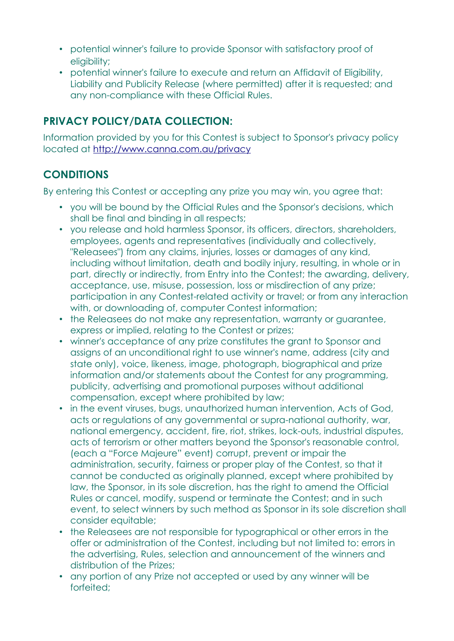- potential winner's failure to provide Sponsor with satisfactory proof of eligibility;
- potential winner's failure to execute and return an Affidavit of Eligibility, Liability and Publicity Release (where permitted) after it is requested; and any non-compliance with these Official Rules.

# **PRIVACY POLICY/DATA COLLECTION:**

Information provided by you for this Contest is subject to Sponsor's privacy policy located at <http://www.canna.com.au/privacy>

# **CONDITIONS**

By entering this Contest or accepting any prize you may win, you agree that:

- you will be bound by the Official Rules and the Sponsor's decisions, which shall be final and binding in all respects;
- you release and hold harmless Sponsor, its officers, directors, shareholders, employees, agents and representatives (individually and collectively, "Releasees") from any claims, injuries, losses or damages of any kind, including without limitation, death and bodily injury, resulting, in whole or in part, directly or indirectly, from Entry into the Contest; the awarding, delivery, acceptance, use, misuse, possession, loss or misdirection of any prize; participation in any Contest-related activity or travel; or from any interaction with, or downloading of, computer Contest information;
- the Releasees do not make any representation, warranty or guarantee, express or implied, relating to the Contest or prizes;
- winner's acceptance of any prize constitutes the grant to Sponsor and assigns of an unconditional right to use winner's name, address (city and state only), voice, likeness, image, photograph, biographical and prize information and/or statements about the Contest for any programming, publicity, advertising and promotional purposes without additional compensation, except where prohibited by law;
- in the event viruses, bugs, unauthorized human intervention, Acts of God, acts or regulations of any governmental or supra-national authority, war, national emergency, accident, fire, riot, strikes, lock-outs, industrial disputes, acts of terrorism or other matters beyond the Sponsor's reasonable control, (each a "Force Majeure" event) corrupt, prevent or impair the administration, security, fairness or proper play of the Contest, so that it cannot be conducted as originally planned, except where prohibited by law, the Sponsor, in its sole discretion, has the right to amend the Official Rules or cancel, modify, suspend or terminate the Contest; and in such event, to select winners by such method as Sponsor in its sole discretion shall consider equitable;
- the Releasees are not responsible for typographical or other errors in the offer or administration of the Contest, including but not limited to: errors in the advertising, Rules, selection and announcement of the winners and distribution of the Prizes;
- any portion of any Prize not accepted or used by any winner will be forfeited;